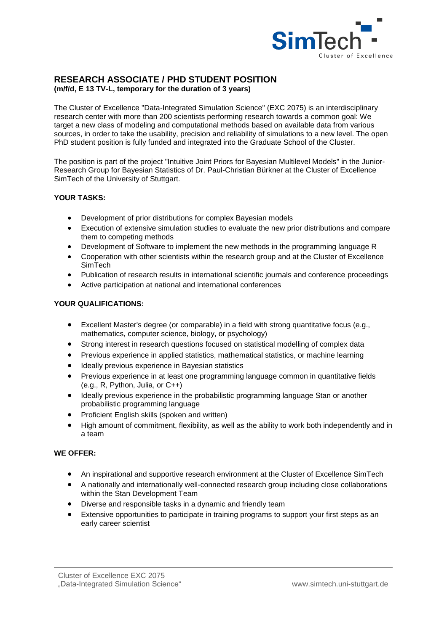

## **RESEARCH ASSOCIATE / PHD STUDENT POSITION (m/f/d, E 13 TV-L, temporary for the duration of 3 years)**

The Cluster of Excellence "Data-Integrated Simulation Science" (EXC 2075) is an interdisciplinary research center with more than 200 scientists performing research towards a common goal: We target a new class of modeling and computational methods based on available data from various sources, in order to take the usability, precision and reliability of simulations to a new level. The open PhD student position is fully funded and integrated into the Graduate School of the Cluster.

The position is part of the project "Intuitive Joint Priors for Bayesian Multilevel Models" in the Junior-Research Group for Bayesian Statistics of Dr. Paul-Christian Bürkner at the Cluster of Excellence SimTech of the University of Stuttgart.

## **YOUR TASKS:**

- Development of prior distributions for complex Bayesian models
- Execution of extensive simulation studies to evaluate the new prior distributions and compare them to competing methods
- Development of Software to implement the new methods in the programming language R
- Cooperation with other scientists within the research group and at the Cluster of Excellence SimTech
- Publication of research results in international scientific journals and conference proceedings
- Active participation at national and international conferences

## **YOUR QUALIFICATIONS:**

- Excellent Master's degree (or comparable) in a field with strong quantitative focus (e.g., mathematics, computer science, biology, or psychology)
- Strong interest in research questions focused on statistical modelling of complex data
- Previous experience in applied statistics, mathematical statistics, or machine learning
- Ideally previous experience in Bayesian statistics
- Previous experience in at least one programming language common in quantitative fields (e.g., R, Python, Julia, or C++)
- Ideally previous experience in the probabilistic programming language Stan or another probabilistic programming language
- Proficient English skills (spoken and written)
- High amount of commitment, flexibility, as well as the ability to work both independently and in a team

## **WE OFFER:**

- An inspirational and supportive research environment at the Cluster of Excellence SimTech
- A nationally and internationally well-connected research group including close collaborations within the Stan Development Team
- Diverse and responsible tasks in a dynamic and friendly team
- Extensive opportunities to participate in training programs to support your first steps as an early career scientist